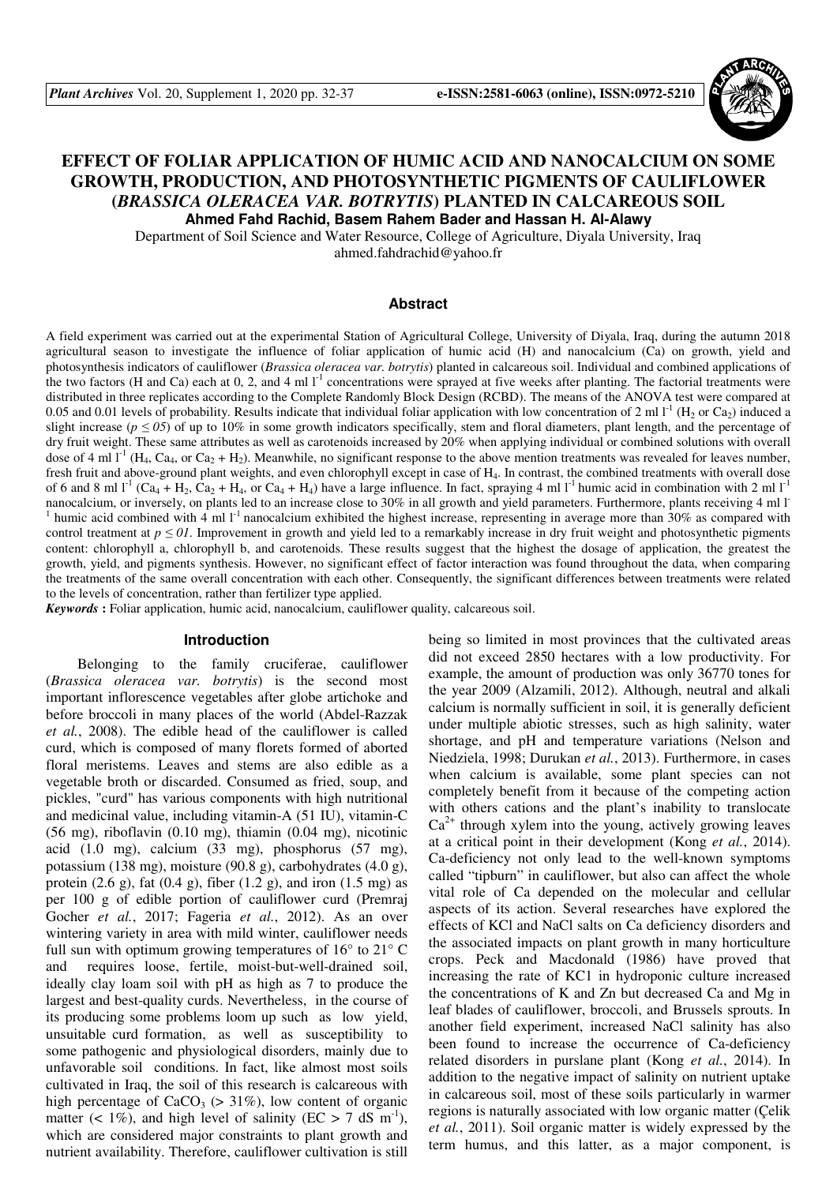

# **EFFECT OF FOLIAR APPLICATION OF HUMIC ACID AND NANOCALCIUM ON SOME GROWTH, PRODUCTION, AND PHOTOSYNTHETIC PIGMENTS OF CAULIFLOWER (***BRASSICA OLERACEA VAR. BOTRYTIS***) PLANTED IN CALCAREOUS SOIL Ahmed Fahd Rachid, Basem Rahem Bader and Hassan H. Al-Alawy**

Department of Soil Science and Water Resource, College of Agriculture, Diyala University, Iraq ahmed.fahdrachid@yahoo.fr

#### **Abstract**

A field experiment was carried out at the experimental Station of Agricultural College, University of Diyala, Iraq, during the autumn 2018 agricultural season to investigate the influence of foliar application of humic acid (H) and nanocalcium (Ca) on growth, yield and photosynthesis indicators of cauliflower (*Brassica oleracea var. botrytis*) planted in calcareous soil. Individual and combined applications of the two factors (H and Ca) each at 0, 2, and 4 ml  $I<sup>-1</sup>$  concentrations were sprayed at five weeks after planting. The factorial treatments were distributed in three replicates according to the Complete Randomly Block Design (RCBD). The means of the ANOVA test were compared at 0.05 and 0.01 levels of probability. Results indicate that individual foliar application with low concentration of 2 ml  $1^1$  (H<sub>2</sub> or Ca<sub>2</sub>) induced a slight increase ( $p \le 0.05$ ) of up to 10% in some growth indicators specifically, stem and floral diameters, plant length, and the percentage of dry fruit weight. These same attributes as well as carotenoids increased by 20% when applying individual or combined solutions with overall dose of 4 ml  $I^1$  (H<sub>4</sub>, Ca<sub>4</sub>, or Ca<sub>2</sub> + H<sub>2</sub>). Meanwhile, no significant response to the above mention treatments was revealed for leaves number, fresh fruit and above-ground plant weights, and even chlorophyll except in case of H4. In contrast, the combined treatments with overall dose of 6 and 8 ml  $l^1$  (Ca<sub>4</sub> + H<sub>2</sub>, Ca<sub>2</sub> + H<sub>4</sub>, or Ca<sub>4</sub> + H<sub>4</sub>) have a large influence. In fact, spraying 4 ml  $l^1$  humic acid in combination with 2 ml  $l^1$ nanocalcium, or inversely, on plants led to an increase close to 30% in all growth and yield parameters. Furthermore, plants receiving 4 ml l-1 humic acid combined with 4 ml  $1<sup>-1</sup>$  nanocalcium exhibited the highest increase, representing in average more than  $30\%$  as compared with control treatment at  $p \le 0$ . Improvement in growth and yield led to a remarkably increase in dry fruit weight and photosynthetic pigments content: chlorophyll a, chlorophyll b, and carotenoids. These results suggest that the highest the dosage of application, the greatest the growth, yield, and pigments synthesis. However, no significant effect of factor interaction was found throughout the data, when comparing the treatments of the same overall concentration with each other. Consequently, the significant differences between treatments were related to the levels of concentration, rather than fertilizer type applied.

*Keywords* **:** Foliar application, humic acid, nanocalcium, cauliflower quality, calcareous soil.

## **Introduction**

Belonging to the family cruciferae, cauliflower (*Brassica oleracea var. botrytis*) is the second most important inflorescence vegetables after globe artichoke and before broccoli in many places of the world (Abdel-Razzak *et al.*, 2008). The edible head of the cauliflower is called curd, which is composed of many florets formed of aborted floral meristems. Leaves and stems are also edible as a vegetable broth or discarded. Consumed as fried, soup, and pickles, "curd" has various components with high nutritional and medicinal value, including vitamin-A (51 IU), vitamin-C (56 mg), riboflavin (0.10 mg), thiamin (0.04 mg), nicotinic acid (1.0 mg), calcium (33 mg), phosphorus (57 mg), potassium (138 mg), moisture (90.8 g), carbohydrates (4.0 g), protein  $(2.6 \text{ g})$ , fat  $(0.4 \text{ g})$ , fiber  $(1.2 \text{ g})$ , and iron  $(1.5 \text{ mg})$  as per 100 g of edible portion of cauliflower curd (Premraj Gocher *et al.*, 2017; Fageria *et al.*, 2012). As an over wintering variety in area with mild winter, cauliflower needs full sun with optimum growing temperatures of 16° to 21° C and requires loose, fertile, moist-but-well-drained soil, ideally clay loam soil with pH as high as 7 to produce the largest and best-quality curds. Nevertheless, in the course of its producing some problems loom up such as low yield, unsuitable curd formation, as well as susceptibility to some pathogenic and physiological disorders, mainly due to unfavorable soil conditions. In fact, like almost most soils cultivated in Iraq, the soil of this research is calcareous with high percentage of  $CaCO<sub>3</sub>$  (> 31%), low content of organic matter (< 1%), and high level of salinity (EC > 7 dS m<sup>-1</sup>), which are considered major constraints to plant growth and nutrient availability. Therefore, cauliflower cultivation is still being so limited in most provinces that the cultivated areas did not exceed 2850 hectares with a low productivity. For example, the amount of production was only 36770 tones for the year 2009 (Alzamili, 2012). Although, neutral and alkali calcium is normally sufficient in soil, it is generally deficient under multiple abiotic stresses, such as high salinity, water shortage, and pH and temperature variations (Nelson and Niedziela, 1998; Durukan *et al.*, 2013). Furthermore, in cases when calcium is available, some plant species can not completely benefit from it because of the competing action with others cations and the plant's inability to translocate  $Ca<sup>2+</sup>$  through xylem into the young, actively growing leaves at a critical point in their development (Kong *et al.*, 2014). Ca-deficiency not only lead to the well-known symptoms called "tipburn" in cauliflower, but also can affect the whole vital role of Ca depended on the molecular and cellular aspects of its action. Several researches have explored the effects of KCl and NaCl salts on Ca deficiency disorders and the associated impacts on plant growth in many horticulture crops. Peck and Macdonald (1986) have proved that increasing the rate of KC1 in hydroponic culture increased the concentrations of K and Zn but decreased Ca and Mg in leaf blades of cauliflower, broccoli, and Brussels sprouts. In another field experiment, increased NaCl salinity has also been found to increase the occurrence of Ca-deficiency related disorders in purslane plant (Kong *et al.*, 2014). In addition to the negative impact of salinity on nutrient uptake in calcareous soil, most of these soils particularly in warmer regions is naturally associated with low organic matter (Çelik *et al.*, 2011). Soil organic matter is widely expressed by the term humus, and this latter, as a major component, is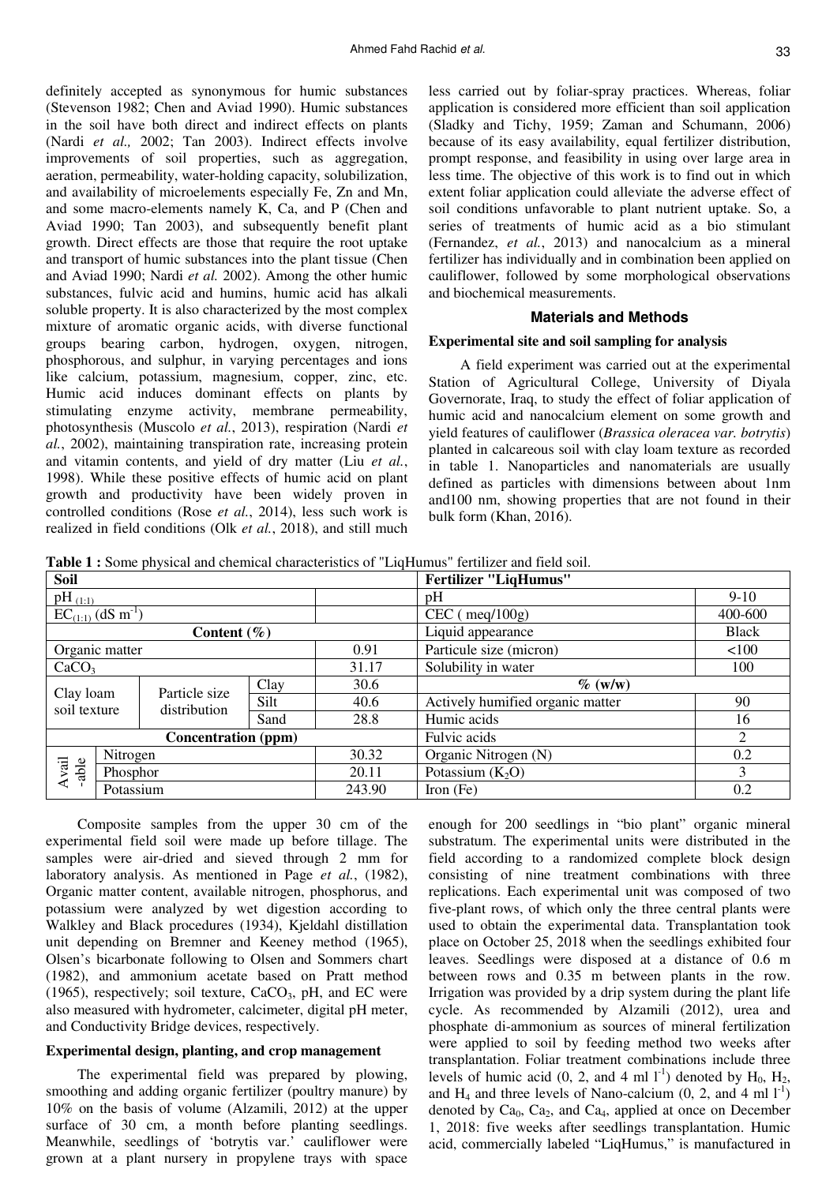definitely accepted as synonymous for humic substances (Stevenson 1982; Chen and Aviad 1990). Humic substances in the soil have both direct and indirect effects on plants (Nardi *et al.,* 2002; Tan 2003). Indirect effects involve improvements of soil properties, such as aggregation, aeration, permeability, water-holding capacity, solubilization, and availability of microelements especially Fe, Zn and Mn, and some macro-elements namely K, Ca, and P (Chen and Aviad 1990; Tan 2003), and subsequently benefit plant growth. Direct effects are those that require the root uptake and transport of humic substances into the plant tissue (Chen and Aviad 1990; Nardi *et al.* 2002). Among the other humic substances, fulvic acid and humins, humic acid has alkali soluble property. It is also characterized by the most complex mixture of aromatic organic acids, with diverse functional groups bearing carbon, hydrogen, oxygen, nitrogen, phosphorous, and sulphur, in varying percentages and ions like calcium, potassium, magnesium, copper, zinc, etc. Humic acid induces dominant effects on plants by stimulating enzyme activity, membrane permeability, photosynthesis (Muscolo *et al.*, 2013), respiration (Nardi *et al.*, 2002), maintaining transpiration rate, increasing protein and vitamin contents, and yield of dry matter (Liu *et al.*, 1998). While these positive effects of humic acid on plant growth and productivity have been widely proven in controlled conditions (Rose *et al.*, 2014), less such work is realized in field conditions (Olk *et al.*, 2018), and still much

less carried out by foliar-spray practices. Whereas, foliar application is considered more efficient than soil application (Sladky and Tichy, 1959; Zaman and Schumann, 2006) because of its easy availability, equal fertilizer distribution, prompt response, and feasibility in using over large area in less time. The objective of this work is to find out in which extent foliar application could alleviate the adverse effect of soil conditions unfavorable to plant nutrient uptake. So, a series of treatments of humic acid as a bio stimulant (Fernandez, *et al.*, 2013) and nanocalcium as a mineral fertilizer has individually and in combination been applied on cauliflower, followed by some morphological observations and biochemical measurements.

# **Materials and Methods**

## **Experimental site and soil sampling for analysis**

A field experiment was carried out at the experimental Station of Agricultural College, University of Diyala Governorate, Iraq, to study the effect of foliar application of humic acid and nanocalcium element on some growth and yield features of cauliflower (*Brassica oleracea var. botrytis*) planted in calcareous soil with clay loam texture as recorded in table 1. Nanoparticles and nanomaterials are usually defined as particles with dimensions between about 1nm and100 nm, showing properties that are not found in their bulk form (Khan, 2016).

**Table 1 :** Some physical and chemical characteristics of "LiqHumus" fertilizer and field soil.

| <b>Soil</b>                        |           |                               |        |             | <b>Fertilizer "LiqHumus"</b>         |                |  |
|------------------------------------|-----------|-------------------------------|--------|-------------|--------------------------------------|----------------|--|
| $pH_{(1:1)}$                       |           |                               |        |             | $9-10$<br>pH                         |                |  |
| $EC_{(1:1)}$ (dS m <sup>-1</sup> ) |           |                               |        |             | 400-600<br>$CEC$ (meq/100g)          |                |  |
| Content $(\% )$                    |           |                               |        |             | Liquid appearance<br><b>Black</b>    |                |  |
| Organic matter                     |           |                               |        | 0.91        | Particule size (micron)              | 100            |  |
| CaCO <sub>3</sub>                  |           |                               |        | 31.17       | Solubility in water<br>100           |                |  |
| Clay loam<br>soil texture          |           | Particle size<br>distribution | Clay   | 30.6        | $\%$ (w/w)                           |                |  |
|                                    |           |                               | Silt   | 40.6        | Actively humified organic matter     | 90             |  |
|                                    |           |                               | Sand   | 28.8        | Humic acids                          | 16             |  |
| <b>Concentration</b> (ppm)         |           |                               |        |             | Fulvic acids                         | $\overline{2}$ |  |
| Avail<br>-able                     |           | Nitrogen                      |        | 30.32       | Organic Nitrogen (N)                 | 0.2            |  |
|                                    | Phosphor  |                               |        | 20.11       | $\mathfrak{Z}$<br>Potassium $(K_2O)$ |                |  |
|                                    | Potassium |                               | 243.90 | Iron $(Fe)$ | 0.2                                  |                |  |

Composite samples from the upper 30 cm of the experimental field soil were made up before tillage. The samples were air-dried and sieved through 2 mm for laboratory analysis. As mentioned in Page *et al.*, (1982), Organic matter content, available nitrogen, phosphorus, and potassium were analyzed by wet digestion according to Walkley and Black procedures (1934), Kjeldahl distillation unit depending on Bremner and Keeney method (1965), Olsen's bicarbonate following to Olsen and Sommers chart (1982), and ammonium acetate based on Pratt method (1965), respectively; soil texture,  $CaCO<sub>3</sub>$ , pH, and EC were also measured with hydrometer, calcimeter, digital pH meter, and Conductivity Bridge devices, respectively.

## **Experimental design, planting, and crop management**

The experimental field was prepared by plowing, smoothing and adding organic fertilizer (poultry manure) by 10% on the basis of volume (Alzamili, 2012) at the upper surface of 30 cm, a month before planting seedlings. Meanwhile, seedlings of 'botrytis var.' cauliflower were grown at a plant nursery in propylene trays with space

enough for 200 seedlings in "bio plant" organic mineral substratum. The experimental units were distributed in the field according to a randomized complete block design consisting of nine treatment combinations with three replications. Each experimental unit was composed of two five-plant rows, of which only the three central plants were used to obtain the experimental data. Transplantation took place on October 25, 2018 when the seedlings exhibited four leaves. Seedlings were disposed at a distance of 0.6 m between rows and 0.35 m between plants in the row. Irrigation was provided by a drip system during the plant life cycle. As recommended by Alzamili (2012), urea and phosphate di-ammonium as sources of mineral fertilization were applied to soil by feeding method two weeks after transplantation. Foliar treatment combinations include three levels of humic acid (0, 2, and 4 ml  $1^{-1}$ ) denoted by H<sub>0</sub>, H<sub>2</sub>, and H<sub>4</sub> and three levels of Nano-calcium  $(0, 2, \text{ and } 4 \text{ ml } 1^{-1})$ denoted by  $Ca<sub>0</sub>$ ,  $Ca<sub>2</sub>$ , and  $Ca<sub>4</sub>$ , applied at once on December 1, 2018: five weeks after seedlings transplantation. Humic acid, commercially labeled "LiqHumus," is manufactured in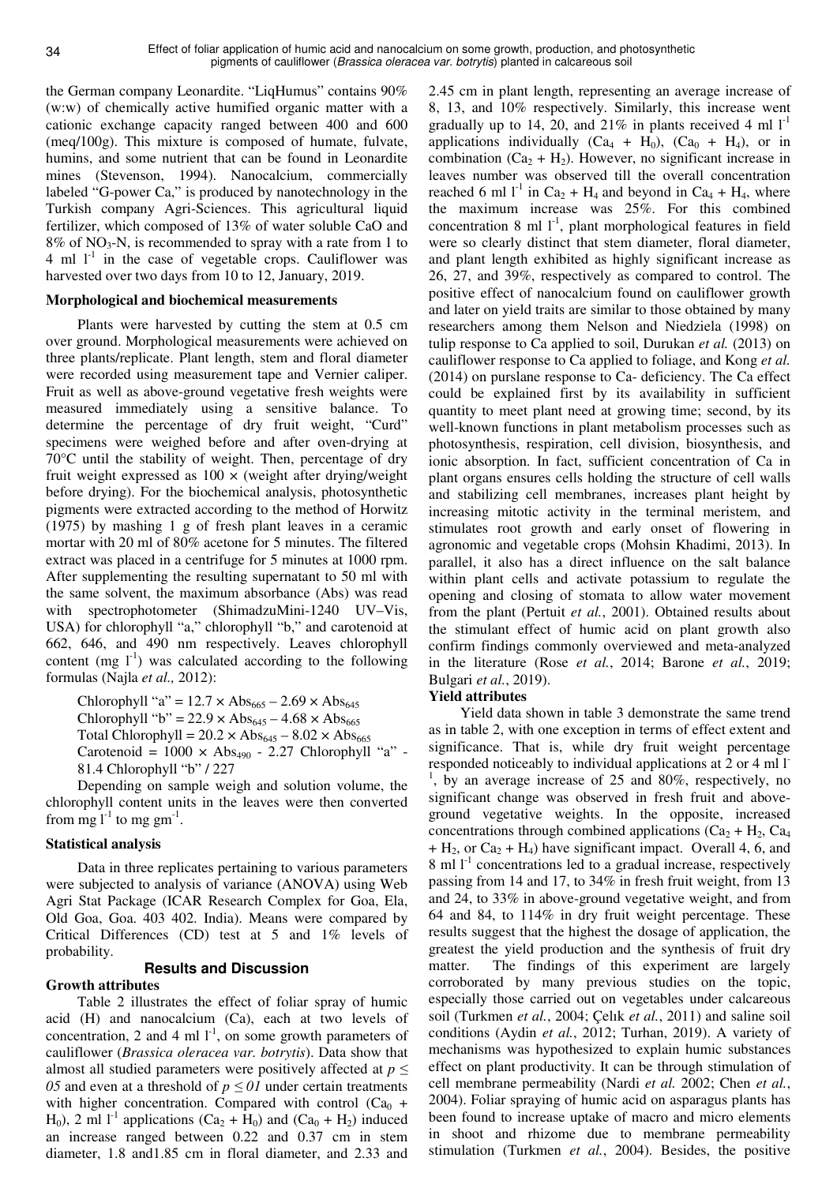the German company Leonardite. "LiqHumus" contains 90% (w:w) of chemically active humified organic matter with a cationic exchange capacity ranged between 400 and 600 (meq/100g). This mixture is composed of humate, fulvate, humins, and some nutrient that can be found in Leonardite mines (Stevenson, 1994). Nanocalcium, commercially labeled "G-power Ca," is produced by nanotechnology in the Turkish company Agri-Sciences. This agricultural liquid fertilizer, which composed of 13% of water soluble CaO and  $8\%$  of NO<sub>3</sub>-N, is recommended to spray with a rate from 1 to 4 ml  $l^{-1}$  in the case of vegetable crops. Cauliflower was harvested over two days from 10 to 12, January, 2019.

#### **Morphological and biochemical measurements**

Plants were harvested by cutting the stem at 0.5 cm over ground. Morphological measurements were achieved on three plants/replicate. Plant length, stem and floral diameter were recorded using measurement tape and Vernier caliper. Fruit as well as above-ground vegetative fresh weights were measured immediately using a sensitive balance. To determine the percentage of dry fruit weight, "Curd" specimens were weighed before and after oven-drying at 70°C until the stability of weight. Then, percentage of dry fruit weight expressed as  $100 \times$  (weight after drying/weight before drying). For the biochemical analysis, photosynthetic pigments were extracted according to the method of Horwitz (1975) by mashing 1 g of fresh plant leaves in a ceramic mortar with 20 ml of 80% acetone for 5 minutes. The filtered extract was placed in a centrifuge for 5 minutes at 1000 rpm. After supplementing the resulting supernatant to 50 ml with the same solvent, the maximum absorbance (Abs) was read with spectrophotometer (ShimadzuMini-1240 UV–Vis, USA) for chlorophyll "a," chlorophyll "b," and carotenoid at 662, 646, and 490 nm respectively. Leaves chlorophyll content (mg  $1^{-1}$ ) was calculated according to the following formulas (Najla *et al.,* 2012):

Chlorophyll "a" =  $12.7 \times Abs_{665} - 2.69 \times Abs_{645}$ Chlorophyll "b" = 22.9  $\times$  Abs<sub>645</sub> – 4.68  $\times$  Abs<sub>665</sub> Total Chlorophyll =  $20.2 \times Abs_{645} - 8.02 \times Abs_{665}$ Carotenoid =  $1000 \times \text{Abs}_{490}$  - 2.27 Chlorophyll "a" -81.4 Chlorophyll "b" / 227

Depending on sample weigh and solution volume, the chlorophyll content units in the leaves were then converted from mg  $l^{-1}$  to mg gm<sup>-1</sup>.

### **Statistical analysis**

Data in three replicates pertaining to various parameters were subjected to analysis of variance (ANOVA) using Web Agri Stat Package (ICAR Research Complex for Goa, Ela, Old Goa, Goa. 403 402. India). Means were compared by Critical Differences (CD) test at 5 and 1% levels of probability.

#### **Results and Discussion**

## **Growth attributes**

Table 2 illustrates the effect of foliar spray of humic acid (H) and nanocalcium (Ca), each at two levels of concentration, 2 and 4 ml  $1^{-1}$ , on some growth parameters of cauliflower (*Brassica oleracea var. botrytis*). Data show that almost all studied parameters were positively affected at *p* ≤ *05* and even at a threshold of  $p \le 0$ *l* under certain treatments with higher concentration. Compared with control  $(Ca_0 +$ H<sub>0</sub>), 2 ml <sup>1-1</sup> applications (Ca<sub>2</sub> + H<sub>0</sub>) and (Ca<sub>0</sub> + H<sub>2</sub>) induced an increase ranged between 0.22 and 0.37 cm in stem diameter, 1.8 and1.85 cm in floral diameter, and 2.33 and

2.45 cm in plant length, representing an average increase of 8, 13, and 10% respectively. Similarly, this increase went gradually up to 14, 20, and 21% in plants received 4 ml  $1<sup>-1</sup>$ applications individually  $(Ca_4 + H_0)$ ,  $(Ca_0 + H_4)$ , or in combination  $(Ca_2 + H_2)$ . However, no significant increase in leaves number was observed till the overall concentration reached 6 ml  $1^{-1}$  in Ca<sub>2</sub> + H<sub>4</sub> and beyond in Ca<sub>4</sub> + H<sub>4</sub>, where the maximum increase was 25%. For this combined concentration 8 ml  $1^{-1}$ , plant morphological features in field were so clearly distinct that stem diameter, floral diameter, and plant length exhibited as highly significant increase as 26, 27, and 39%, respectively as compared to control. The positive effect of nanocalcium found on cauliflower growth and later on yield traits are similar to those obtained by many researchers among them Nelson and Niedziela (1998) on tulip response to Ca applied to soil, Durukan *et al.* (2013) on cauliflower response to Ca applied to foliage, and Kong *et al.* (2014) on purslane response to Ca- deficiency. The Ca effect could be explained first by its availability in sufficient quantity to meet plant need at growing time; second, by its well-known functions in plant metabolism processes such as photosynthesis, respiration, cell division, biosynthesis, and ionic absorption. In fact, sufficient concentration of Ca in plant organs ensures cells holding the structure of cell walls and stabilizing cell membranes, increases plant height by increasing mitotic activity in the terminal meristem, and stimulates root growth and early onset of flowering in agronomic and vegetable crops (Mohsin Khadimi, 2013). In parallel, it also has a direct influence on the salt balance within plant cells and activate potassium to regulate the opening and closing of stomata to allow water movement from the plant (Pertuit *et al.*, 2001). Obtained results about the stimulant effect of humic acid on plant growth also confirm findings commonly overviewed and meta-analyzed in the literature (Rose *et al.*, 2014; Barone *et al.*, 2019; Bulgari *et al.*, 2019).

#### **Yield attributes**

Yield data shown in table 3 demonstrate the same trend as in table 2, with one exception in terms of effect extent and significance. That is, while dry fruit weight percentage responded noticeably to individual applications at 2 or 4 ml l<sup>-</sup> <sup>1</sup>, by an average increase of 25 and 80%, respectively, no significant change was observed in fresh fruit and aboveground vegetative weights. In the opposite, increased concentrations through combined applications  $(Ca_2 + H_2, Ca_4)$  $+ H_2$ , or Ca<sub>2</sub> + H<sub>4</sub>) have significant impact. Overall 4, 6, and 8 ml  $1<sup>-1</sup>$  concentrations led to a gradual increase, respectively passing from 14 and 17, to 34% in fresh fruit weight, from 13 and 24, to 33% in above-ground vegetative weight, and from 64 and 84, to 114% in dry fruit weight percentage. These results suggest that the highest the dosage of application, the greatest the yield production and the synthesis of fruit dry matter. The findings of this experiment are largely corroborated by many previous studies on the topic, especially those carried out on vegetables under calcareous soil (Turkmen *et al.*, 2004; Çelık *et al.*, 2011) and saline soil conditions (Aydin *et al.*, 2012; Turhan, 2019). A variety of mechanisms was hypothesized to explain humic substances effect on plant productivity. It can be through stimulation of cell membrane permeability (Nardi *et al.* 2002; Chen *et al.*, 2004). Foliar spraying of humic acid on asparagus plants has been found to increase uptake of macro and micro elements in shoot and rhizome due to membrane permeability stimulation (Turkmen *et al.*, 2004). Besides, the positive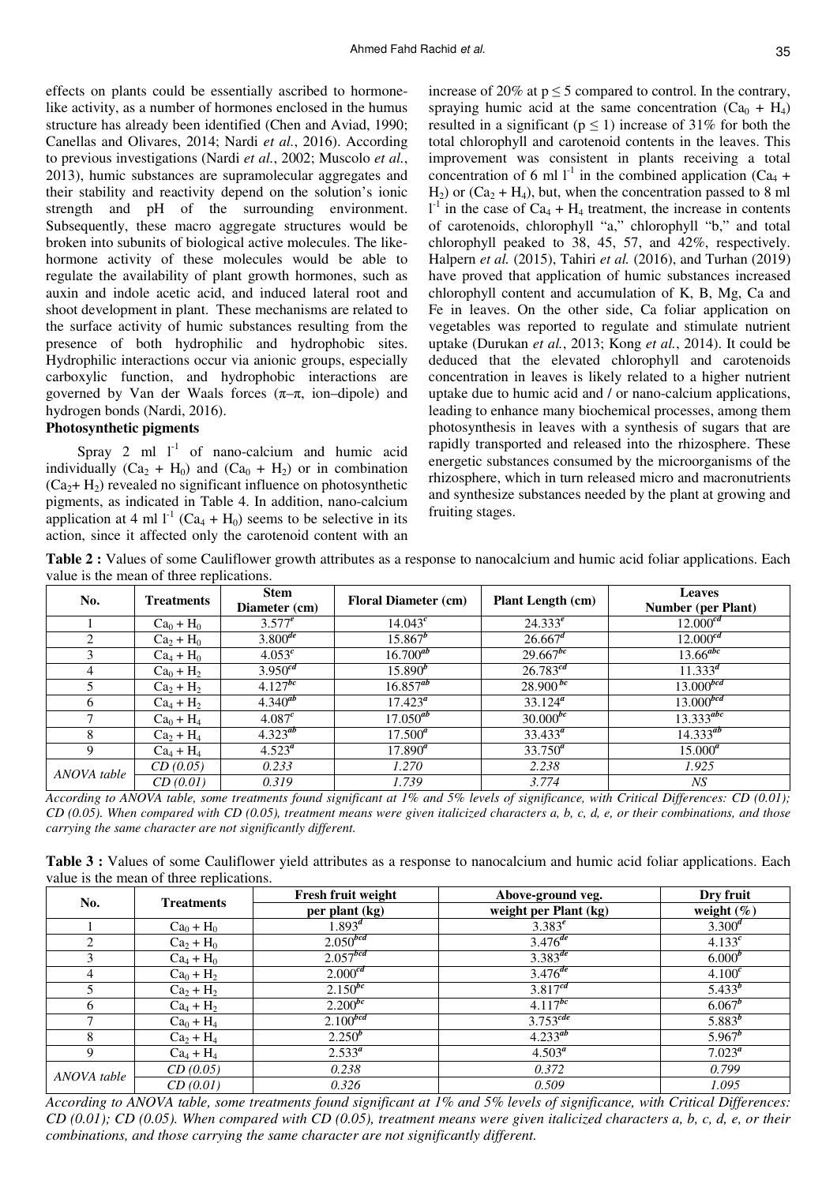effects on plants could be essentially ascribed to hormonelike activity, as a number of hormones enclosed in the humus structure has already been identified (Chen and Aviad, 1990; Canellas and Olivares, 2014; Nardi *et al.*, 2016). According to previous investigations (Nardi *et al.*, 2002; Muscolo *et al.*, 2013), humic substances are supramolecular aggregates and their stability and reactivity depend on the solution's ionic strength and pH of the surrounding environment. Subsequently, these macro aggregate structures would be broken into subunits of biological active molecules. The likehormone activity of these molecules would be able to regulate the availability of plant growth hormones, such as auxin and indole acetic acid, and induced lateral root and shoot development in plant. These mechanisms are related to the surface activity of humic substances resulting from the presence of both hydrophilic and hydrophobic sites. Hydrophilic interactions occur via anionic groups, especially carboxylic function, and hydrophobic interactions are governed by Van der Waals forces  $(\pi-\pi, \text{ ion–dipole})$  and hydrogen bonds (Nardi, 2016).

## **Photosynthetic pigments**

Spray 2 ml  $1^{-1}$  of nano-calcium and humic acid individually  $(Ca_2 + H_0)$  and  $(Ca_0 + H_2)$  or in combination  $(Ca_2 + H_2)$  revealed no significant influence on photosynthetic pigments, as indicated in Table 4. In addition, nano-calcium application at 4 ml  $l^{-1}$  (Ca<sub>4</sub> + H<sub>0</sub>) seems to be selective in its action, since it affected only the carotenoid content with an

increase of 20% at  $p \le 5$  compared to control. In the contrary, spraying humic acid at the same concentration  $(Ca_0 + H_4)$ resulted in a significant ( $p \le 1$ ) increase of 31% for both the total chlorophyll and carotenoid contents in the leaves. This improvement was consistent in plants receiving a total concentration of 6 ml  $I<sup>-1</sup>$  in the combined application (Ca<sub>4</sub> +  $H_2$ ) or (Ca<sub>2</sub> + H<sub>4</sub>), but, when the concentration passed to 8 ml  $1<sup>-1</sup>$  in the case of Ca<sub>4</sub> + H<sub>4</sub> treatment, the increase in contents of carotenoids, chlorophyll "a," chlorophyll "b," and total chlorophyll peaked to 38, 45, 57, and 42%, respectively. Halpern *et al.* (2015), Tahiri *et al.* (2016), and Turhan (2019) have proved that application of humic substances increased chlorophyll content and accumulation of K, B, Mg, Ca and Fe in leaves. On the other side, Ca foliar application on vegetables was reported to regulate and stimulate nutrient uptake (Durukan *et al.*, 2013; Kong *et al.*, 2014). It could be deduced that the elevated chlorophyll and carotenoids concentration in leaves is likely related to a higher nutrient uptake due to humic acid and / or nano-calcium applications, leading to enhance many biochemical processes, among them photosynthesis in leaves with a synthesis of sugars that are rapidly transported and released into the rhizosphere. These energetic substances consumed by the microorganisms of the rhizosphere, which in turn released micro and macronutrients and synthesize substances needed by the plant at growing and fruiting stages.

**Table 2 :** Values of some Cauliflower growth attributes as a response to nanocalcium and humic acid foliar applications. Each value is the mean of three replications.

| No.           | <b>Treatments</b> | <b>Stem</b><br>Diameter (cm) | <b>Floral Diameter (cm)</b> | <b>Plant Length (cm)</b> | <b>Leaves</b><br><b>Number (per Plant)</b> |
|---------------|-------------------|------------------------------|-----------------------------|--------------------------|--------------------------------------------|
|               | $Ca0 + H0$        | $3.577^{e}$                  | $14.043^{c}$                | $24.333^{e}$             | $12.000^{cd}$                              |
| 2             | $Ca2 + H0$        | $3.800^{de}$                 | $15.867^b$                  | $26.667^d$               | $12.000^{cd}$                              |
| 3             | $Ca_4 + H_0$      | $4.053^{c}$                  | $16.700^{ab}$               | $29.667^{bc}$            | $13.66$ <sup>abc</sup>                     |
| 4             | $Ca0 + H2$        | $3.950^{cd}$                 | $15.890^{b}$                | $26.783^{cd}$            | $11.333^{d}$                               |
| 5             | $Ca2 + H2$        | $4.127^{bc}$                 | $16.857^{ab}$               | $28.900^{bc}$            | $13.000^{bcd}$                             |
| 6             | $Ca_4 + H_2$      | $4.340^{ab}$                 | $17.423^a$                  | $33.124^a$               | $13.000^{bcd}$                             |
| $\mathcal{I}$ | $Ca_0 + H_4$      | 4.087 <sup>c</sup>           | $17.050^{ab}$               | $30.000^{bc}$            | $13.333^{abc}$                             |
| 8             | $Ca2 + H4$        | $4.323^{ab}$                 | $17.500^a$                  | $33.433^{\circ}$         | $14.333^{ab}$                              |
| 9             | $Ca_4 + H_4$      | $4.523^{\circ}$              | $17.890^a$                  | $33.750^a$               | $15.000^a$                                 |
| ANOVA table   | CD(0.05)          | 0.233                        | 1.270                       | 2.238                    | 1.925                                      |
|               | CD(0.01)          | 0.319                        | 1.739                       | 3.774                    | NS                                         |

*According to ANOVA table, some treatments found significant at 1% and 5% levels of significance, with Critical Differences: CD (0.01); CD (0.05). When compared with CD (0.05), treatment means were given italicized characters a, b, c, d, e, or their combinations, and those carrying the same character are not significantly different.*

**Table 3 :** Values of some Cauliflower yield attributes as a response to nanocalcium and humic acid foliar applications. Each value is the mean of three replications.

| No.         | <b>Treatments</b> | Fresh fruit weight   | Above-ground veg.      | Dry fruit     |
|-------------|-------------------|----------------------|------------------------|---------------|
|             |                   | per plant (kg)       | weight per Plant (kg)  | weight $(\%)$ |
|             | $Ca0 + H0$        | $1.893^d$            | $3.383^{e}$            | $3.300^{d}$   |
| 2           | $Ca2 + H0$        | $2.050^{bcd}$        | $3.476^{de}$           | $4.133^{c}$   |
|             | $Ca_4 + H_0$      | 2.057 <sup>bcd</sup> | $3.383^{de}$           | $6.000^{b}$   |
| 4           | $Ca_0 + H_2$      | $2.000^{cd}$         | $3.476^{de}$           | $4.100^{c}$   |
|             | $Ca2 + H2$        | $2.150^{bc}$         | $3.817^{cd}$           | $5.433^{b}$   |
| 6           | $Ca4 + H2$        | $2.200^{bc}$         | $4.117^{bc}$           | $6.067^b$     |
|             | $Ca_0 + H_4$      | $2.100^{bcd}$        | $3.753$ <sup>cde</sup> | $5.883^{b}$   |
| 8           | $Ca2 + H4$        | $2.250^{b}$          | $4.233^{ab}$           | $5.967^b$     |
| 9           | $Ca_4 + H_4$      | $2.533^a$            | $4.503^a$              | $7.023^a$     |
| ANOVA table | CD(0.05)          | 0.238                | 0.372                  | 0.799         |
|             | CD(0.01)          | 0.326                | 0.509                  | 1.095         |

*According to ANOVA table, some treatments found significant at 1% and 5% levels of significance, with Critical Differences: CD (0.01); CD (0.05). When compared with CD (0.05), treatment means were given italicized characters a, b, c, d, e, or their combinations, and those carrying the same character are not significantly different.*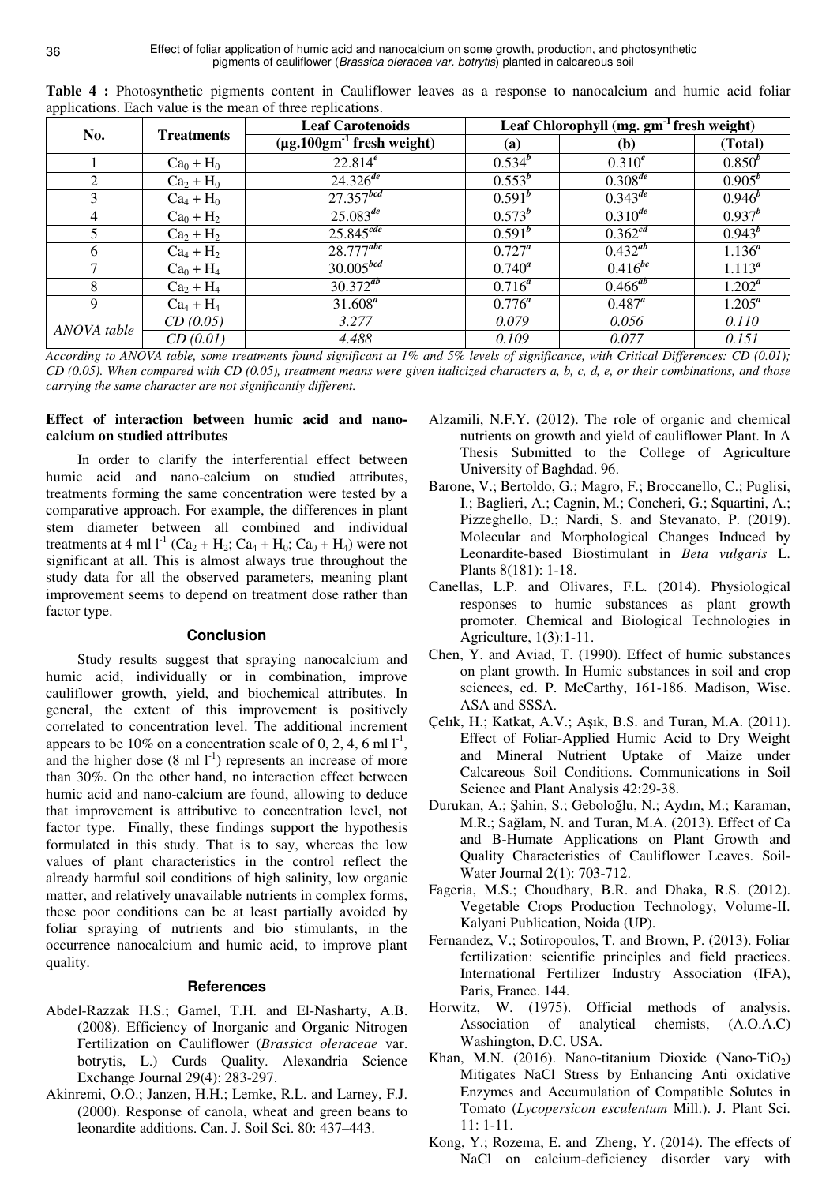| <u>_______</u> | <b>Treatments</b> | <b>Leaf Carotenoids</b>           | Leaf Chlorophyll (mg. gm <sup>-1</sup> fresh weight) |              |             |
|----------------|-------------------|-----------------------------------|------------------------------------------------------|--------------|-------------|
| No.            |                   | $(\mu g.100gm^{-1}$ fresh weight) | (a)                                                  | <b>(b)</b>   | (Total)     |
|                | $Ca_0 + H_0$      | $22.814^{e}$                      | $0.534^{b}$                                          | $0.310^{e}$  | $0.850^{b}$ |
| 2              | $Ca2 + H0$        | $24.326^{de}$                     | $0.553^{b}$                                          | $0.308^{de}$ | $0.905^{b}$ |
| 3              | $Ca_4 + H_0$      | $27.357^{bcd}$                    | $0.591^{b}$                                          | $0.343^{de}$ | $0.946^{b}$ |
| 4              | $Ca_0 + H_2$      | $25.083^{de}$                     | $0.573^{b}$                                          | $0.310^{de}$ | $0.937^{b}$ |
|                | $Ca2 + H2$        | $25.845^{cde}$                    | $0.591^{b}$                                          | $0.362^{cd}$ | $0.943^{b}$ |
| 6              | $Ca_4 + H_2$      | $28.777^{abc}$                    | $0.727^a$                                            | $0.432^{ab}$ | $1.136^{a}$ |
|                | $Ca_0 + H_4$      | $30.005^{bcd}$                    | $0.740^a$                                            | $0.416^{bc}$ | $1.113^{a}$ |
| 8              | $Ca2 + H4$        | $30.372^{ab}$                     | $0.716^a$                                            | $0.466^{ab}$ | $1.202^a$   |
| 9              | $Ca_4 + H_4$      | $31.608^a$                        | $0.776^a$                                            | $0.487^a$    | $1.205^a$   |
| ANOVA table    | CD(0.05)          | 3.277                             | 0.079                                                | 0.056        | 0.110       |
|                | CD(0.01)          | 4.488                             | 0.109                                                | 0.077        | 0.151       |

**Table 4 :** Photosynthetic pigments content in Cauliflower leaves as a response to nanocalcium and humic acid foliar applications. Each value is the mean of three replications.

*According to ANOVA table, some treatments found significant at 1% and 5% levels of significance, with Critical Differences: CD (0.01); CD (0.05). When compared with CD (0.05), treatment means were given italicized characters a, b, c, d, e, or their combinations, and those carrying the same character are not significantly different.*

# **Effect of interaction between humic acid and nanocalcium on studied attributes**

In order to clarify the interferential effect between humic acid and nano-calcium on studied attributes, treatments forming the same concentration were tested by a comparative approach. For example, the differences in plant stem diameter between all combined and individual treatments at 4 ml  $l^{-1}$  (Ca<sub>2</sub> + H<sub>2</sub>; Ca<sub>4</sub> + H<sub>0</sub>; Ca<sub>0</sub> + H<sub>4</sub>) were not significant at all. This is almost always true throughout the study data for all the observed parameters, meaning plant improvement seems to depend on treatment dose rather than factor type.

# **Conclusion**

Study results suggest that spraying nanocalcium and humic acid, individually or in combination, improve cauliflower growth, yield, and biochemical attributes. In general, the extent of this improvement is positively correlated to concentration level. The additional increment appears to be 10% on a concentration scale of 0, 2, 4, 6 ml  $I<sup>-1</sup>$ , and the higher dose  $(8 \text{ ml } l^{-1})$  represents an increase of more than 30%. On the other hand, no interaction effect between humic acid and nano-calcium are found, allowing to deduce that improvement is attributive to concentration level, not factor type. Finally, these findings support the hypothesis formulated in this study. That is to say, whereas the low values of plant characteristics in the control reflect the already harmful soil conditions of high salinity, low organic matter, and relatively unavailable nutrients in complex forms, these poor conditions can be at least partially avoided by foliar spraying of nutrients and bio stimulants, in the occurrence nanocalcium and humic acid, to improve plant quality.

# **References**

- Abdel-Razzak H.S.; Gamel, T.H. and El-Nasharty, A.B. (2008). Efficiency of Inorganic and Organic Nitrogen Fertilization on Cauliflower (*Brassica oleraceae* var. botrytis, L.) Curds Quality. Alexandria Science Exchange Journal 29(4): 283-297.
- Akinremi, O.O.; Janzen, H.H.; Lemke, R.L. and Larney, F.J. (2000). Response of canola, wheat and green beans to leonardite additions. Can. J. Soil Sci. 80: 437–443.
- Alzamili, N.F.Y. (2012). The role of organic and chemical nutrients on growth and yield of cauliflower Plant. In A Thesis Submitted to the College of Agriculture University of Baghdad. 96.
- Barone, V.; Bertoldo, G.; Magro, F.; Broccanello, C.; Puglisi, I.; Baglieri, A.; Cagnin, M.; Concheri, G.; Squartini, A.; Pizzeghello, D.; Nardi, S. and Stevanato, P. (2019). Molecular and Morphological Changes Induced by Leonardite-based Biostimulant in *Beta vulgaris* L. Plants 8(181): 1-18.
- Canellas, L.P. and Olivares, F.L. (2014). Physiological responses to humic substances as plant growth promoter. Chemical and Biological Technologies in Agriculture, 1(3):1-11.
- Chen, Y. and Aviad, T. (1990). Effect of humic substances on plant growth. In Humic substances in soil and crop sciences, ed. P. McCarthy, 161-186. Madison, Wisc. ASA and SSSA.
- Çelık, H.; Katkat, A.V.; Aşık, B.S. and Turan, M.A. (2011). Effect of Foliar-Applied Humic Acid to Dry Weight and Mineral Nutrient Uptake of Maize under Calcareous Soil Conditions. Communications in Soil Science and Plant Analysis 42:29-38.
- Durukan, A.; Şahin, S.; Geboloğlu, N.; Aydın, M.; Karaman, M.R.; Sağlam, N. and Turan, M.A. (2013). Effect of Ca and B-Humate Applications on Plant Growth and Quality Characteristics of Cauliflower Leaves. Soil-Water Journal 2(1): 703-712.
- Fageria, M.S.; Choudhary, B.R. and Dhaka, R.S. (2012). Vegetable Crops Production Technology, Volume-II. Kalyani Publication, Noida (UP).
- Fernandez, V.; Sotiropoulos, T. and Brown, P. (2013). Foliar fertilization: scientific principles and field practices. International Fertilizer Industry Association (IFA), Paris, France. 144.
- Horwitz, W. (1975). Official methods of analysis. Association of analytical chemists, (A.O.A.C) Washington, D.C. USA.
- Khan, M.N. (2016). Nano-titanium Dioxide (Nano-TiO<sub>2</sub>) Mitigates NaCl Stress by Enhancing Anti oxidative Enzymes and Accumulation of Compatible Solutes in Tomato (*Lycopersicon esculentum* Mill.). J. Plant Sci. 11: 1-11.
- Kong, Y.; Rozema, E. and Zheng, Y. (2014). The effects of NaCl on calcium-deficiency disorder vary with